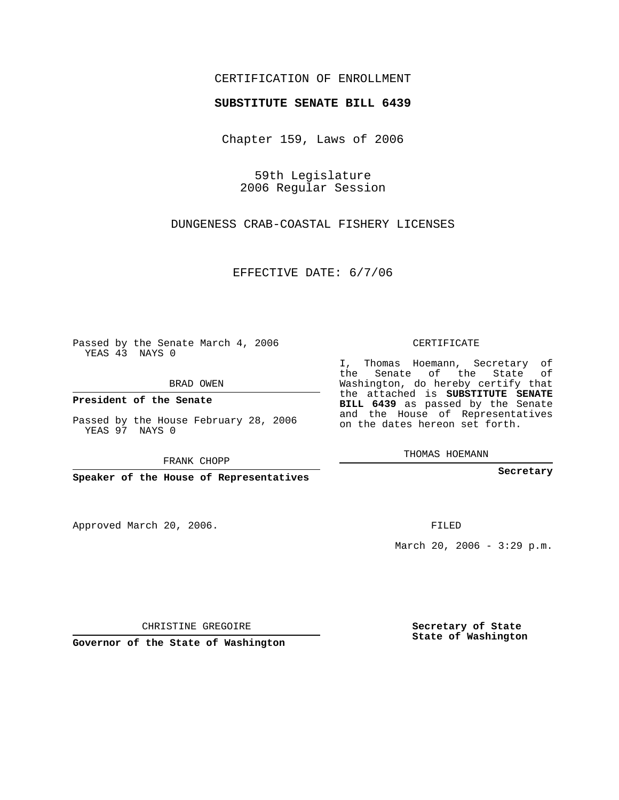## CERTIFICATION OF ENROLLMENT

## **SUBSTITUTE SENATE BILL 6439**

Chapter 159, Laws of 2006

59th Legislature 2006 Regular Session

DUNGENESS CRAB-COASTAL FISHERY LICENSES

EFFECTIVE DATE: 6/7/06

Passed by the Senate March 4, 2006 YEAS 43 NAYS 0

BRAD OWEN

**President of the Senate**

Passed by the House February 28, 2006 YEAS 97 NAYS 0

FRANK CHOPP

**Speaker of the House of Representatives**

Approved March 20, 2006.

CERTIFICATE

I, Thomas Hoemann, Secretary of the Senate of the State of Washington, do hereby certify that the attached is **SUBSTITUTE SENATE BILL 6439** as passed by the Senate and the House of Representatives on the dates hereon set forth.

THOMAS HOEMANN

**Secretary**

FILED

March 20, 2006 -  $3:29$  p.m.

CHRISTINE GREGOIRE

**Governor of the State of Washington**

**Secretary of State State of Washington**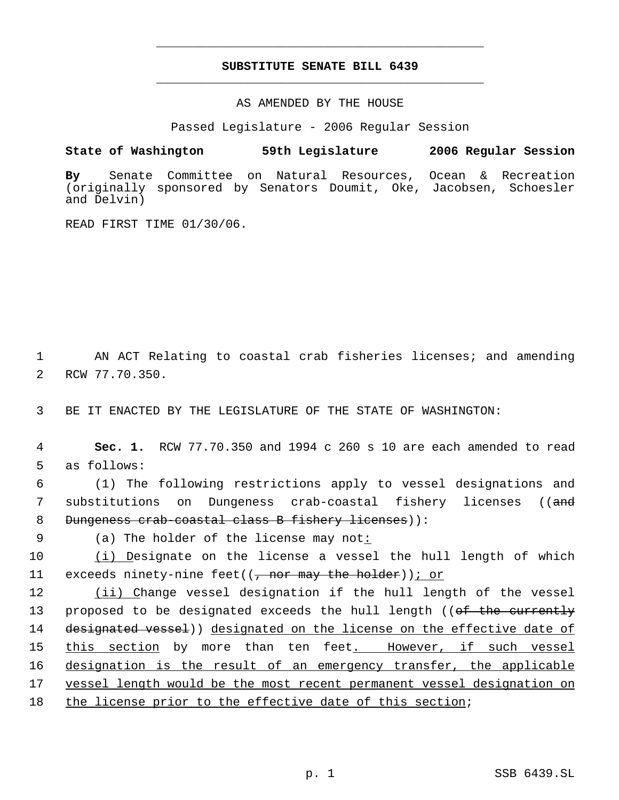## **SUBSTITUTE SENATE BILL 6439** \_\_\_\_\_\_\_\_\_\_\_\_\_\_\_\_\_\_\_\_\_\_\_\_\_\_\_\_\_\_\_\_\_\_\_\_\_\_\_\_\_\_\_\_\_

\_\_\_\_\_\_\_\_\_\_\_\_\_\_\_\_\_\_\_\_\_\_\_\_\_\_\_\_\_\_\_\_\_\_\_\_\_\_\_\_\_\_\_\_\_

AS AMENDED BY THE HOUSE

Passed Legislature - 2006 Regular Session

## **State of Washington 59th Legislature 2006 Regular Session**

**By** Senate Committee on Natural Resources, Ocean & Recreation (originally sponsored by Senators Doumit, Oke, Jacobsen, Schoesler and Delvin)

READ FIRST TIME 01/30/06.

 1 AN ACT Relating to coastal crab fisheries licenses; and amending 2 RCW 77.70.350.

3 BE IT ENACTED BY THE LEGISLATURE OF THE STATE OF WASHINGTON:

 4 **Sec. 1.** RCW 77.70.350 and 1994 c 260 s 10 are each amended to read 5 as follows:

 6 (1) The following restrictions apply to vessel designations and 7 substitutions on Dungeness crab-coastal fishery licenses ((and 8 Dungeness crab-coastal class B fishery licenses)):

9 (a) The holder of the license may not:

10 (i) Designate on the license a vessel the hull length of which 11 exceeds ninety-nine feet( $(\frac{1}{f}$  nor may the holder)); or

12 (ii) Change vessel designation if the hull length of the vessel 13 proposed to be designated exceeds the hull length ((of the currently 14 designated vessel)) designated on the license on the effective date of 15 this section by more than ten feet. However, if such vessel 16 designation is the result of an emergency transfer, the applicable 17 vessel length would be the most recent permanent vessel designation on

18 the license prior to the effective date of this section;